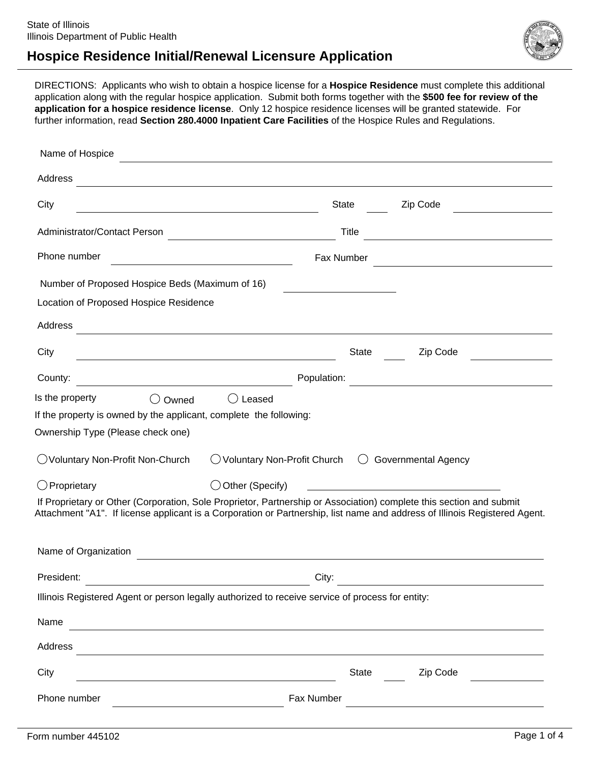



DIRECTIONS: Applicants who wish to obtain a hospice license for a **Hospice Residence** must complete this additional application along with the regular hospice application. Submit both forms together with the **\$500 fee for review of the application for a hospice residence license**. Only 12 hospice residence licenses will be granted statewide. For further information, read **Section 280.4000 Inpatient Care Facilities** of the Hospice Rules and Regulations.

| Name of Hospice                                                                                                     |                                                                                          |                                                                                                                            |
|---------------------------------------------------------------------------------------------------------------------|------------------------------------------------------------------------------------------|----------------------------------------------------------------------------------------------------------------------------|
| Address                                                                                                             |                                                                                          |                                                                                                                            |
| City                                                                                                                | <b>State</b>                                                                             | Zip Code                                                                                                                   |
| Administrator/Contact Person                                                                                        |                                                                                          | Title                                                                                                                      |
| Phone number                                                                                                        | Fax Number<br>the control of the control of the control of the control of the control of | the contract of the contract of the contract of the contract of the contract of                                            |
| Number of Proposed Hospice Beds (Maximum of 16)                                                                     |                                                                                          |                                                                                                                            |
| Location of Proposed Hospice Residence                                                                              |                                                                                          |                                                                                                                            |
| Address                                                                                                             |                                                                                          |                                                                                                                            |
| City                                                                                                                |                                                                                          | Zip Code<br>State                                                                                                          |
| County:                                                                                                             | Population:                                                                              |                                                                                                                            |
| Is the property<br>( )<br>Owned                                                                                     | ◯ Leased                                                                                 |                                                                                                                            |
| If the property is owned by the applicant, complete the following:                                                  |                                                                                          |                                                                                                                            |
| Ownership Type (Please check one)                                                                                   |                                                                                          |                                                                                                                            |
| ◯ Voluntary Non-Profit Non-Church                                                                                   | $\bigcirc$ Voluntary Non-Profit Church                                                   | <b>Governmental Agency</b><br>$\left(\begin{array}{c} \end{array}\right)$                                                  |
| $\bigcirc$ Proprietary                                                                                              | $\bigcirc$ Other (Specify)                                                               |                                                                                                                            |
| If Proprietary or Other (Corporation, Sole Proprietor, Partnership or Association) complete this section and submit |                                                                                          | Attachment "A1". If license applicant is a Corporation or Partnership, list name and address of Illinois Registered Agent. |
| Name of Organization                                                                                                |                                                                                          |                                                                                                                            |
| President:                                                                                                          | City:                                                                                    |                                                                                                                            |
| Illinois Registered Agent or person legally authorized to receive service of process for entity:                    |                                                                                          |                                                                                                                            |
| Name                                                                                                                |                                                                                          | ,我们也不会有什么。""我们的人,我们也不会有什么?""我们的人,我们也不会有什么?""我们的人,我们也不会有什么?""我们的人,我们也不会有什么?""我们的人                                           |
| Address                                                                                                             |                                                                                          | and the control of the control of the control of the control of the control of the control of the control of the           |
| City<br><u> 1989 - Johann Barbara, martxa alemaniar arg</u>                                                         |                                                                                          | Zip Code<br>State                                                                                                          |
| Phone number<br><u> 1980 - Johann Barn, mars an t-Amerikaansk ferske omr</u>                                        | Fax Number                                                                               |                                                                                                                            |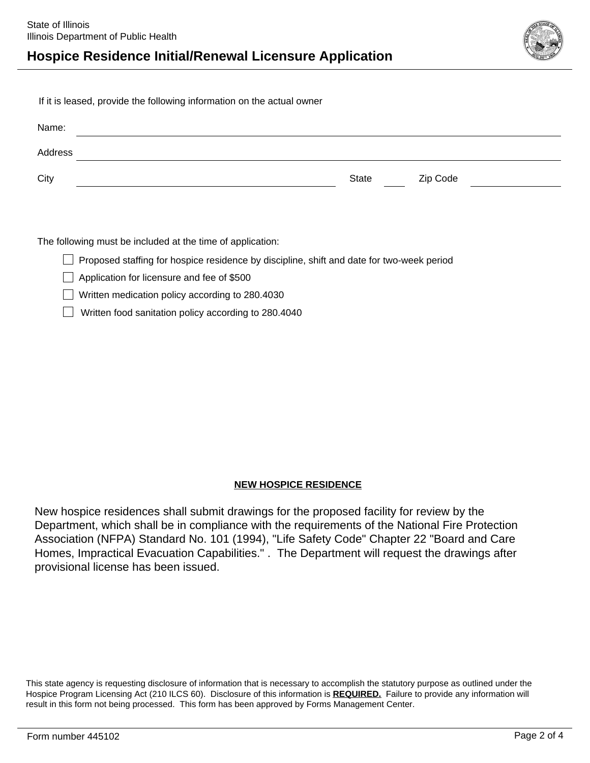

If it is leased, provide the following information on the actual owner

| Name:   |       |          |
|---------|-------|----------|
| Address |       |          |
| City    | State | Zip Code |

The following must be included at the time of application:

 $\Box$  Proposed staffing for hospice residence by discipline, shift and date for two-week period

Application for licensure and fee of \$500

Written medication policy according to 280.4030

Written food sanitation policy according to 280.4040

### **NEW HOSPICE RESIDENCE**

New hospice residences shall submit drawings for the proposed facility for review by the Department, which shall be in compliance with the requirements of the National Fire Protection Association (NFPA) Standard No. 101 (1994), "Life Safety Code" Chapter 22 "Board and Care Homes, Impractical Evacuation Capabilities." . The Department will request the drawings after provisional license has been issued.

This state agency is requesting disclosure of information that is necessary to accomplish the statutory purpose as outlined under the Hospice Program Licensing Act (210 ILCS 60). Disclosure of this information is **REQUIRED.** Failure to provide any information will result in this form not being processed. This form has been approved by Forms Management Center.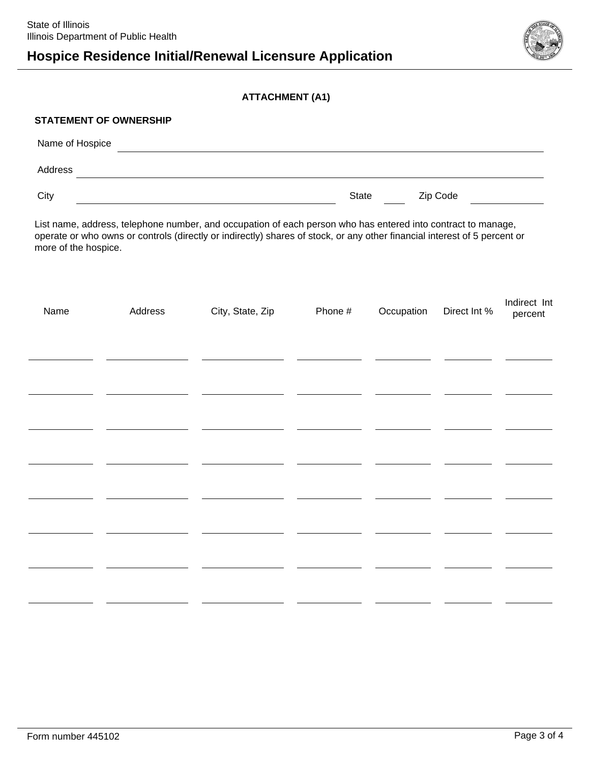# **Hospice Residence Initial/Renewal Licensure Application**



#### **ATTACHMENT (A1)**

#### **STATEMENT OF OWNERSHIP**

| Name of Hospice |       |          |
|-----------------|-------|----------|
| Address         |       |          |
| City            | State | Zip Code |

List name, address, telephone number, and occupation of each person who has entered into contract to manage, operate or who owns or controls (directly or indirectly) shares of stock, or any other financial interest of 5 percent or more of the hospice.

| Name | Address | City, State, Zip | Phone # | Occupation Direct Int % | Indirect Int<br>percent |
|------|---------|------------------|---------|-------------------------|-------------------------|
|      |         |                  |         |                         |                         |
|      |         |                  |         |                         |                         |
|      |         |                  |         |                         |                         |
|      |         |                  |         |                         |                         |
|      |         |                  |         |                         |                         |
|      |         |                  |         |                         |                         |
|      |         |                  |         |                         |                         |
|      |         |                  |         |                         |                         |